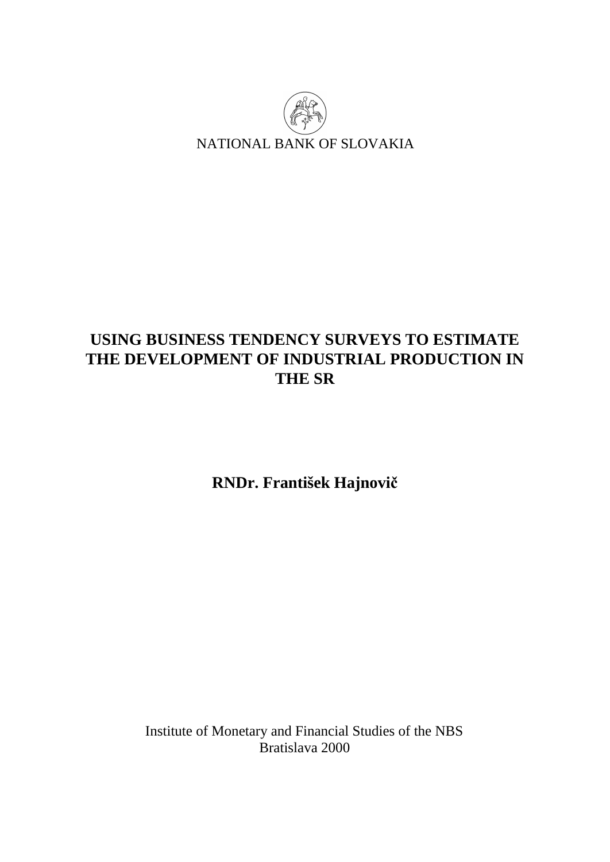

# **USING BUSINESS TENDENCY SURVEYS TO ESTIMATE THE DEVELOPMENT OF INDUSTRIAL PRODUCTION IN THE SR**

**RNDr. František Hajnovič**

Institute of Monetary and Financial Studies of the NBS Bratislava 2000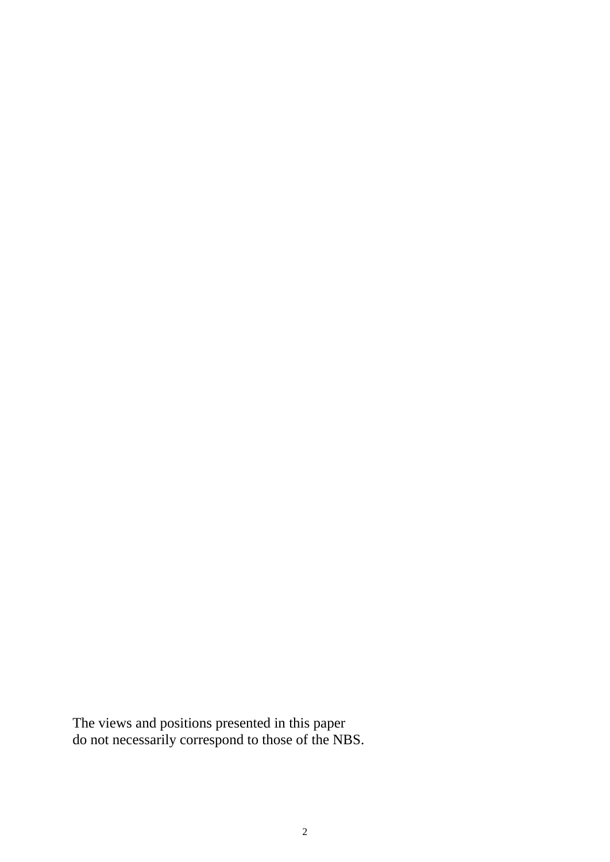The views and positions presented in this paper do not necessarily correspond to those of the NBS.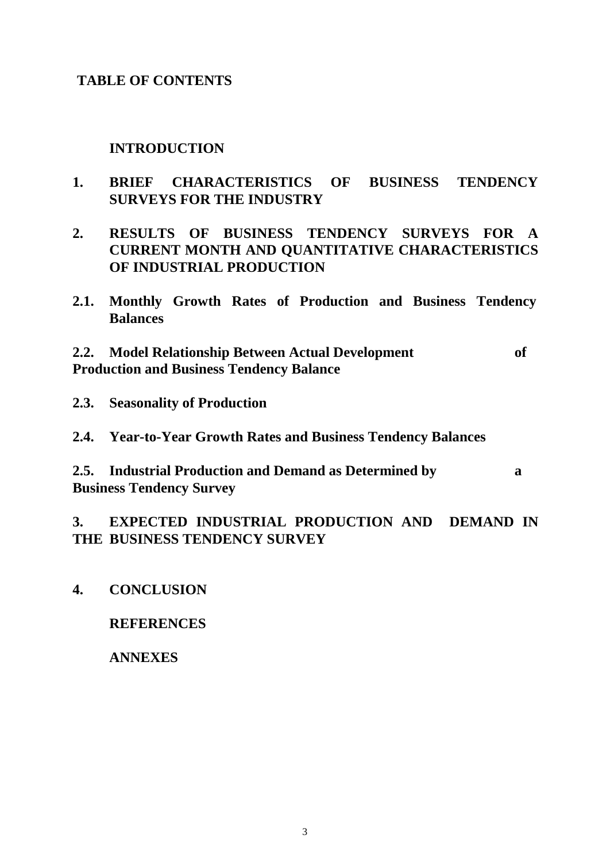## **TABLE OF CONTENTS**

## **INTRODUCTION**

- **1. BRIEF CHARACTERISTICS OF BUSINESS TENDENCY SURVEYS FOR THE INDUSTRY**
- **2. RESULTS OF BUSINESS TENDENCY SURVEYS FOR A CURRENT MONTH AND QUANTITATIVE CHARACTERISTICS OF INDUSTRIAL PRODUCTION**
- **2.1. Monthly Growth Rates of Production and Business Tendency Balances**

**2.2. Model Relationship Between Actual Development of Production and Business Tendency Balance** 

- **2.3. Seasonality of Production**
- **2.4. Year-to-Year Growth Rates and Business Tendency Balances**
- **2.5. Industrial Production and Demand as Determined by a Business Tendency Survey**

## **3. EXPECTED INDUSTRIAL PRODUCTION AND DEMAND IN THE BUSINESS TENDENCY SURVEY**

**4. CONCLUSION** 

## **REFERENCES**

#### **ANNEXES**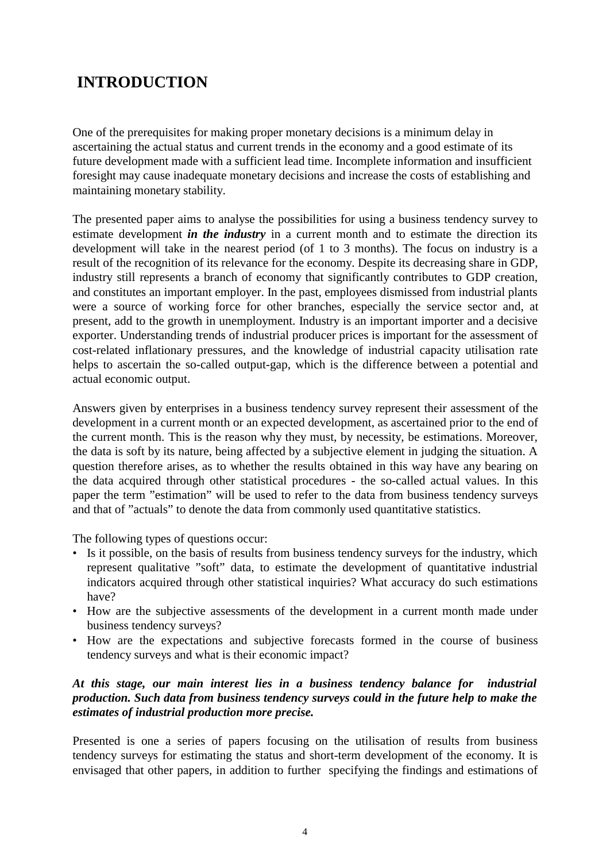# **INTRODUCTION**

One of the prerequisites for making proper monetary decisions is a minimum delay in ascertaining the actual status and current trends in the economy and a good estimate of its future development made with a sufficient lead time. Incomplete information and insufficient foresight may cause inadequate monetary decisions and increase the costs of establishing and maintaining monetary stability.

The presented paper aims to analyse the possibilities for using a business tendency survey to estimate development *in the industry* in a current month and to estimate the direction its development will take in the nearest period (of 1 to 3 months). The focus on industry is a result of the recognition of its relevance for the economy. Despite its decreasing share in GDP, industry still represents a branch of economy that significantly contributes to GDP creation, and constitutes an important employer. In the past, employees dismissed from industrial plants were a source of working force for other branches, especially the service sector and, at present, add to the growth in unemployment. Industry is an important importer and a decisive exporter. Understanding trends of industrial producer prices is important for the assessment of cost-related inflationary pressures, and the knowledge of industrial capacity utilisation rate helps to ascertain the so-called output-gap, which is the difference between a potential and actual economic output.

Answers given by enterprises in a business tendency survey represent their assessment of the development in a current month or an expected development, as ascertained prior to the end of the current month. This is the reason why they must, by necessity, be estimations. Moreover, the data is soft by its nature, being affected by a subjective element in judging the situation. A question therefore arises, as to whether the results obtained in this way have any bearing on the data acquired through other statistical procedures - the so-called actual values. In this paper the term "estimation" will be used to refer to the data from business tendency surveys and that of "actuals" to denote the data from commonly used quantitative statistics.

The following types of questions occur:

- Is it possible, on the basis of results from business tendency surveys for the industry, which represent qualitative "soft" data, to estimate the development of quantitative industrial indicators acquired through other statistical inquiries? What accuracy do such estimations have?
- How are the subjective assessments of the development in a current month made under business tendency surveys?
- How are the expectations and subjective forecasts formed in the course of business tendency surveys and what is their economic impact?

#### *At this stage, our main interest lies in a business tendency balance for industrial production. Such data from business tendency surveys could in the future help to make the estimates of industrial production more precise.*

Presented is one a series of papers focusing on the utilisation of results from business tendency surveys for estimating the status and short-term development of the economy. It is envisaged that other papers, in addition to further specifying the findings and estimations of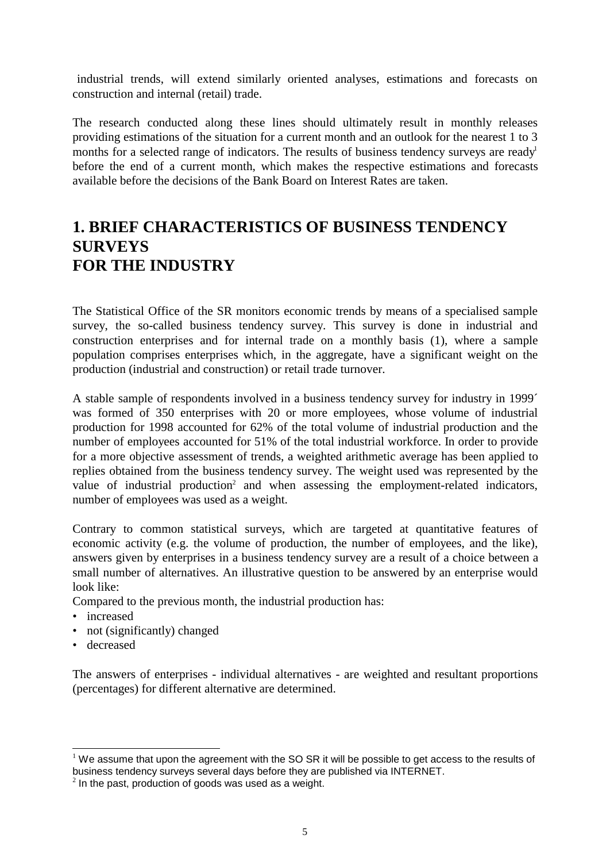industrial trends, will extend similarly oriented analyses, estimations and forecasts on construction and internal (retail) trade.

The research conducted along these lines should ultimately result in monthly releases providing estimations of the situation for a current month and an outlook for the nearest 1 to 3 months for a selected range of indicators. The results of business tendency surveys are ready<sup>1</sup> before the end of a current month, which makes the respective estimations and forecasts available before the decisions of the Bank Board on Interest Rates are taken.

# **1. BRIEF CHARACTERISTICS OF BUSINESS TENDENCY SURVEYS FOR THE INDUSTRY**

The Statistical Office of the SR monitors economic trends by means of a specialised sample survey, the so-called business tendency survey. This survey is done in industrial and construction enterprises and for internal trade on a monthly basis (1), where a sample population comprises enterprises which, in the aggregate, have a significant weight on the production (industrial and construction) or retail trade turnover.

A stable sample of respondents involved in a business tendency survey for industry in 1999´ was formed of 350 enterprises with 20 or more employees, whose volume of industrial production for 1998 accounted for 62% of the total volume of industrial production and the number of employees accounted for 51% of the total industrial workforce. In order to provide for a more objective assessment of trends, a weighted arithmetic average has been applied to replies obtained from the business tendency survey. The weight used was represented by the value of industrial production<sup>2</sup> and when assessing the employment-related indicators, number of employees was used as a weight.

Contrary to common statistical surveys, which are targeted at quantitative features of economic activity (e.g. the volume of production, the number of employees, and the like), answers given by enterprises in a business tendency survey are a result of a choice between a small number of alternatives. An illustrative question to be answered by an enterprise would look like:

Compared to the previous month, the industrial production has:

- increased
- not (significantly) changed
- decreased

l

The answers of enterprises - individual alternatives - are weighted and resultant proportions (percentages) for different alternative are determined.

 $1$  We assume that upon the agreement with the SO SR it will be possible to get access to the results of business tendency surveys several days before they are published via INTERNET.

 $2$  In the past, production of goods was used as a weight.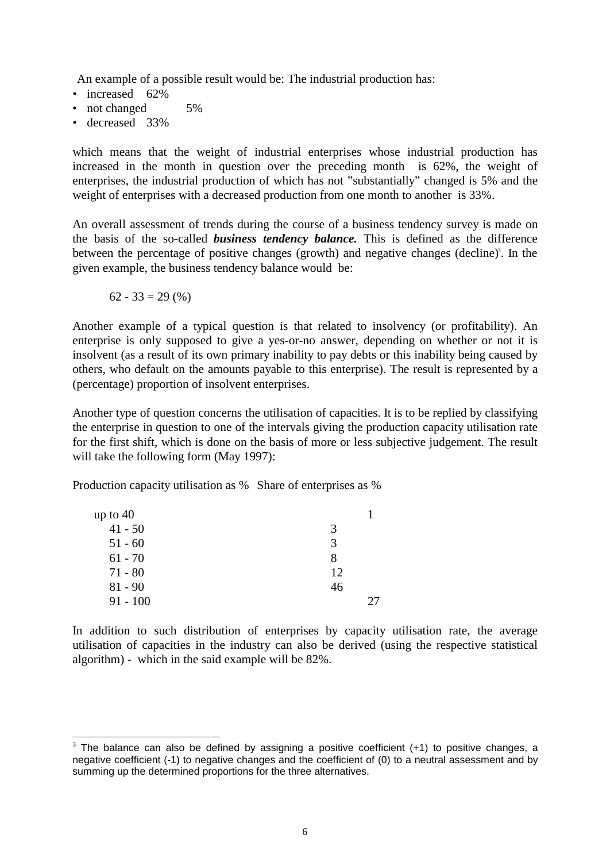An example of a possible result would be: The industrial production has:

- increased 62%
- not changed 5%
- decreased 33%

which means that the weight of industrial enterprises whose industrial production has increased in the month in question over the preceding month is 62%, the weight of enterprises, the industrial production of which has not "substantially" changed is 5% and the weight of enterprises with a decreased production from one month to another is 33%.

An overall assessment of trends during the course of a business tendency survey is made on the basis of the so-called *business tendency balance.* This is defined as the difference between the percentage of positive changes (growth) and negative changes (decline)<sup>3</sup>. In the given example, the business tendency balance would be:

$$
62 - 33 = 29\ (%)
$$

l

Another example of a typical question is that related to insolvency (or profitability). An enterprise is only supposed to give a yes-or-no answer, depending on whether or not it is insolvent (as a result of its own primary inability to pay debts or this inability being caused by others, who default on the amounts payable to this enterprise). The result is represented by a (percentage) proportion of insolvent enterprises.

Another type of question concerns the utilisation of capacities. It is to be replied by classifying the enterprise in question to one of the intervals giving the production capacity utilisation rate for the first shift, which is done on the basis of more or less subjective judgement. The result will take the following form (May 1997):

Production capacity utilisation as % Share of enterprises as %

| up to $40$ |    |  |
|------------|----|--|
| $41 - 50$  | 3  |  |
| $51 - 60$  | 3  |  |
| $61 - 70$  | 8  |  |
| $71 - 80$  | 12 |  |
| $81 - 90$  | 46 |  |
| $91 - 100$ |    |  |

In addition to such distribution of enterprises by capacity utilisation rate, the average utilisation of capacities in the industry can also be derived (using the respective statistical algorithm) - which in the said example will be 82%.

 $3$  The balance can also be defined by assigning a positive coefficient (+1) to positive changes, a negative coefficient (-1) to negative changes and the coefficient of (0) to a neutral assessment and by summing up the determined proportions for the three alternatives.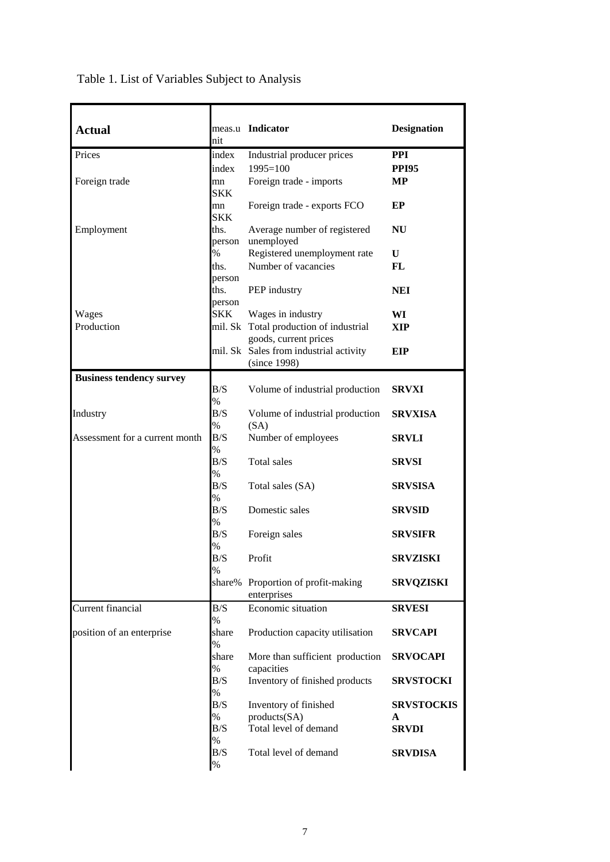| <b>Actual</b>                   |                | meas.u Indicator                                                | <b>Designation</b> |
|---------------------------------|----------------|-----------------------------------------------------------------|--------------------|
| Prices                          | nit<br>index   | Industrial producer prices                                      | <b>PPI</b>         |
|                                 | index          | $1995 = 100$                                                    | <b>PPI95</b>       |
| Foreign trade                   | mn             | Foreign trade - imports                                         | <b>MP</b>          |
|                                 | <b>SKK</b>     |                                                                 |                    |
|                                 | mn             | Foreign trade - exports FCO                                     | EP                 |
|                                 | <b>SKK</b>     |                                                                 |                    |
| Employment                      | ths.           | Average number of registered                                    | <b>NU</b>          |
|                                 | person<br>$\%$ | unemployed<br>Registered unemployment rate                      | U                  |
|                                 | ths.           | Number of vacancies                                             | <b>FL</b>          |
|                                 | person         |                                                                 |                    |
|                                 | ths.           | PEP industry                                                    | <b>NEI</b>         |
|                                 | person         |                                                                 |                    |
| Wages                           | <b>SKK</b>     | Wages in industry                                               | WI                 |
| Production                      |                | mil. Sk Total production of industrial                          | <b>XIP</b>         |
|                                 |                | goods, current prices<br>mil. Sk Sales from industrial activity | EIP                |
|                                 |                | (since 1998)                                                    |                    |
| <b>Business tendency survey</b> |                |                                                                 |                    |
|                                 | B/S            | Volume of industrial production                                 | <b>SRVXI</b>       |
|                                 | $\%$           |                                                                 |                    |
| Industry                        | B/S            | Volume of industrial production                                 | <b>SRVXISA</b>     |
| Assessment for a current month  | $\%$<br>B/S    | (SA)                                                            |                    |
|                                 | %              | Number of employees                                             | <b>SRVLI</b>       |
|                                 | B/S            | Total sales                                                     | <b>SRVSI</b>       |
|                                 | $\%$           |                                                                 |                    |
|                                 | B/S            | Total sales (SA)                                                | <b>SRVSISA</b>     |
|                                 | $\%$           |                                                                 |                    |
|                                 | B/S<br>$\%$    | Domestic sales                                                  | <b>SRVSID</b>      |
|                                 | B/S            | Foreign sales                                                   | <b>SRVSIFR</b>     |
|                                 | %              |                                                                 |                    |
|                                 | B/S            | Profit                                                          | <b>SRVZISKI</b>    |
|                                 | $\%$           |                                                                 |                    |
|                                 |                | share% Proportion of profit-making                              | <b>SRVQZISKI</b>   |
| Current financial               | B/S            | enterprises<br>Economic situation                               | <b>SRVESI</b>      |
|                                 | $\%$           |                                                                 |                    |
| position of an enterprise       | share          | Production capacity utilisation                                 | <b>SRVCAPI</b>     |
|                                 | $\%$           |                                                                 |                    |
|                                 | share          | More than sufficient production                                 | <b>SRVOCAPI</b>    |
|                                 | $\%$           | capacities                                                      |                    |
|                                 | B/S<br>$\%$    | Inventory of finished products                                  | <b>SRVSTOCKI</b>   |
|                                 | B/S            | Inventory of finished                                           | <b>SRVSTOCKIS</b>  |
|                                 | $\%$           | products(SA)                                                    | A                  |
|                                 | B/S            | Total level of demand                                           | <b>SRVDI</b>       |
|                                 | $\%$           |                                                                 |                    |
|                                 | B/S            | Total level of demand                                           | <b>SRVDISA</b>     |
|                                 | $\%$           |                                                                 |                    |

Table 1. List of Variables Subject to Analysis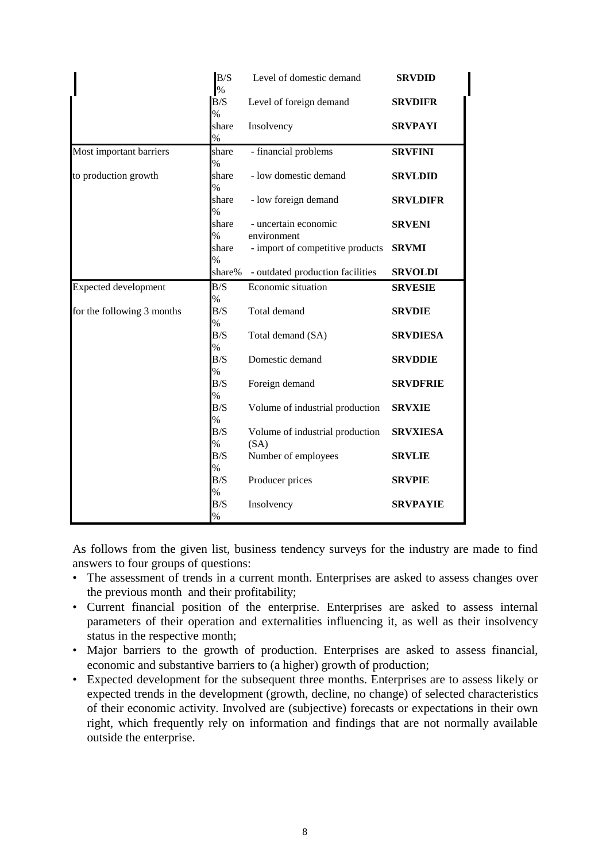|                            | B/S<br>%                    | Level of domestic demand                | <b>SRVDID</b>   |
|----------------------------|-----------------------------|-----------------------------------------|-----------------|
|                            | B/S<br>%                    | Level of foreign demand                 | <b>SRVDIFR</b>  |
|                            | share<br>$\%$               | Insolvency                              | <b>SRVPAYI</b>  |
| Most important barriers    | share                       | - financial problems                    | <b>SRVFINI</b>  |
| to production growth       | %<br>share<br>$\frac{9}{6}$ | - low domestic demand                   | <b>SRVLDID</b>  |
|                            | share                       | - low foreign demand                    | <b>SRVLDIFR</b> |
|                            | %<br>share<br>$\%$          | - uncertain economic<br>environment     | <b>SRVENI</b>   |
|                            | share                       | - import of competitive products        | <b>SRVMI</b>    |
|                            | $\frac{0}{0}$<br>share%     | - outdated production facilities        | <b>SRVOLDI</b>  |
| Expected development       | B/S                         | Economic situation                      | <b>SRVESIE</b>  |
| for the following 3 months | $\%$<br>B/S<br>$\%$         | Total demand                            | <b>SRVDIE</b>   |
|                            | B/S<br>$\%$                 | Total demand (SA)                       | <b>SRVDIESA</b> |
|                            | B/S<br>$\%$                 | Domestic demand                         | <b>SRVDDIE</b>  |
|                            | B/S                         | Foreign demand                          | <b>SRVDFRIE</b> |
|                            | %<br>B/S<br>%               | Volume of industrial production         | <b>SRVXIE</b>   |
|                            | B/S<br>%                    | Volume of industrial production<br>(SA) | <b>SRVXIESA</b> |
|                            | B/S                         | Number of employees                     | <b>SRVLIE</b>   |
|                            | %<br>B/S                    | Producer prices                         | <b>SRVPIE</b>   |
|                            | %<br>B/S<br>$\%$            | Insolvency                              | <b>SRVPAYIE</b> |

As follows from the given list, business tendency surveys for the industry are made to find answers to four groups of questions:

- The assessment of trends in a current month. Enterprises are asked to assess changes over the previous month and their profitability;
- Current financial position of the enterprise. Enterprises are asked to assess internal parameters of their operation and externalities influencing it, as well as their insolvency status in the respective month;
- Major barriers to the growth of production. Enterprises are asked to assess financial, economic and substantive barriers to (a higher) growth of production;
- Expected development for the subsequent three months. Enterprises are to assess likely or expected trends in the development (growth, decline, no change) of selected characteristics of their economic activity. Involved are (subjective) forecasts or expectations in their own right, which frequently rely on information and findings that are not normally available outside the enterprise.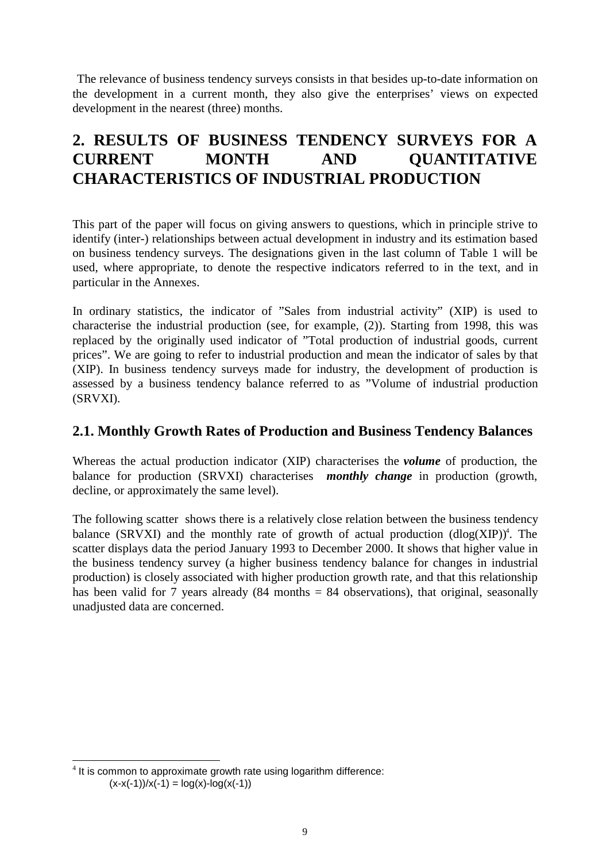The relevance of business tendency surveys consists in that besides up-to-date information on the development in a current month, they also give the enterprises' views on expected development in the nearest (three) months.

# **2. RESULTS OF BUSINESS TENDENCY SURVEYS FOR A CURRENT MONTH AND QUANTITATIVE CHARACTERISTICS OF INDUSTRIAL PRODUCTION**

This part of the paper will focus on giving answers to questions, which in principle strive to identify (inter-) relationships between actual development in industry and its estimation based on business tendency surveys. The designations given in the last column of Table 1 will be used, where appropriate, to denote the respective indicators referred to in the text, and in particular in the Annexes.

In ordinary statistics, the indicator of "Sales from industrial activity" (XIP) is used to characterise the industrial production (see, for example, (2)). Starting from 1998, this was replaced by the originally used indicator of "Total production of industrial goods, current prices". We are going to refer to industrial production and mean the indicator of sales by that (XIP). In business tendency surveys made for industry, the development of production is assessed by a business tendency balance referred to as "Volume of industrial production (SRVXI).

#### **2.1. Monthly Growth Rates of Production and Business Tendency Balances**

Whereas the actual production indicator (XIP) characterises the *volume* of production, the balance for production (SRVXI) characterises *monthly change* in production (growth, decline, or approximately the same level).

The following scatter shows there is a relatively close relation between the business tendency balance (SRVXI) and the monthly rate of growth of actual production  $(dlog(XIP))^4$ . The scatter displays data the period January 1993 to December 2000. It shows that higher value in the business tendency survey (a higher business tendency balance for changes in industrial production) is closely associated with higher production growth rate, and that this relationship has been valid for 7 years already  $(84 \text{ months} = 84 \text{ observations})$ , that original, seasonally unadjusted data are concerned.

l

 $4$  It is common to approximate growth rate using logarithm difference:  $(x-x(-1))/x(-1) = log(x)-log(x(-1))$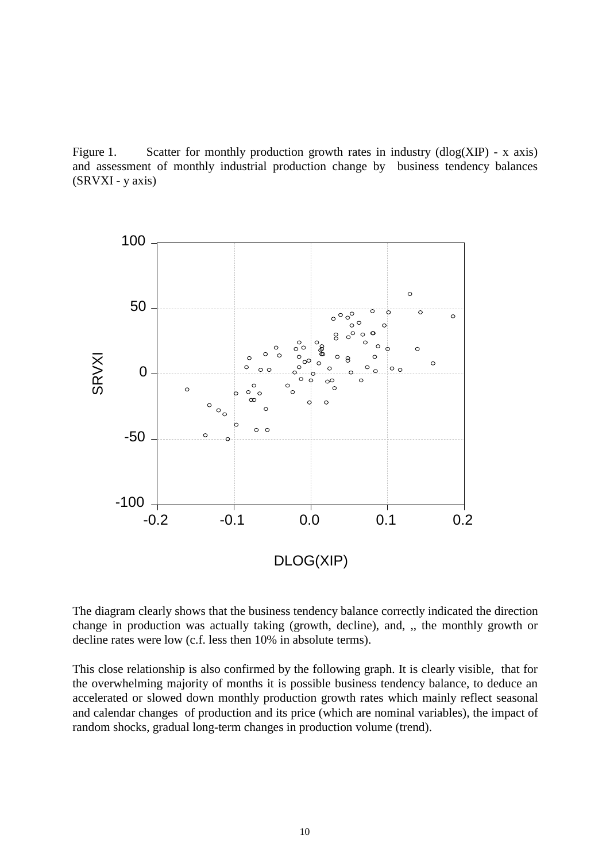Figure 1. Scatter for monthly production growth rates in industry  $(dlog(XIP) - x axis)$ and assessment of monthly industrial production change by business tendency balances (SRVXI - y axis)



The diagram clearly shows that the business tendency balance correctly indicated the direction change in production was actually taking (growth, decline), and, ,, the monthly growth or decline rates were low (c.f. less then 10% in absolute terms).

This close relationship is also confirmed by the following graph. It is clearly visible, that for the overwhelming majority of months it is possible business tendency balance, to deduce an accelerated or slowed down monthly production growth rates which mainly reflect seasonal and calendar changes of production and its price (which are nominal variables), the impact of random shocks, gradual long-term changes in production volume (trend).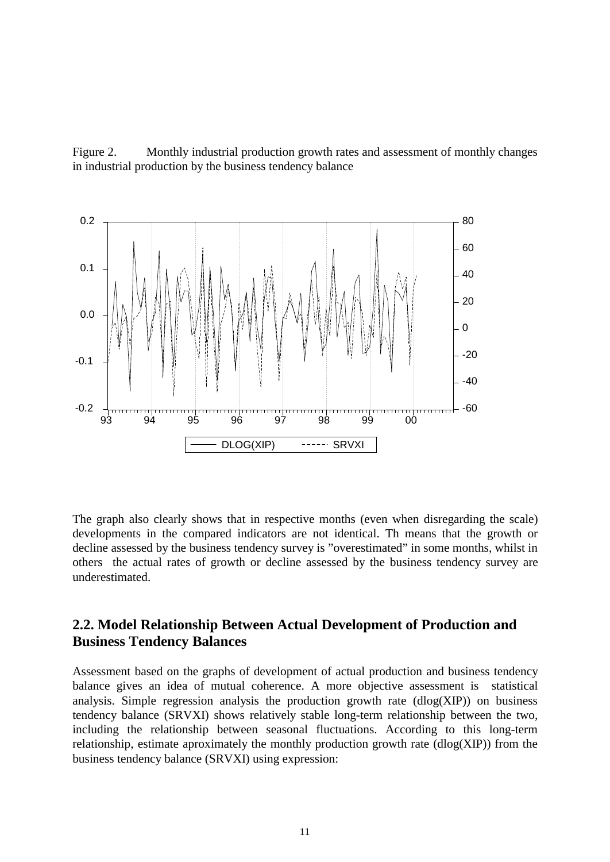Figure 2. Monthly industrial production growth rates and assessment of monthly changes in industrial production by the business tendency balance



The graph also clearly shows that in respective months (even when disregarding the scale) developments in the compared indicators are not identical. Th means that the growth or decline assessed by the business tendency survey is "overestimated" in some months, whilst in others the actual rates of growth or decline assessed by the business tendency survey are underestimated.

### **2.2. Model Relationship Between Actual Development of Production and Business Tendency Balances**

Assessment based on the graphs of development of actual production and business tendency balance gives an idea of mutual coherence. A more objective assessment is statistical analysis. Simple regression analysis the production growth rate  $(dlog(XIP))$  on business tendency balance (SRVXI) shows relatively stable long-term relationship between the two, including the relationship between seasonal fluctuations. According to this long-term relationship, estimate aproximately the monthly production growth rate (dlog(XIP)) from the business tendency balance (SRVXI) using expression: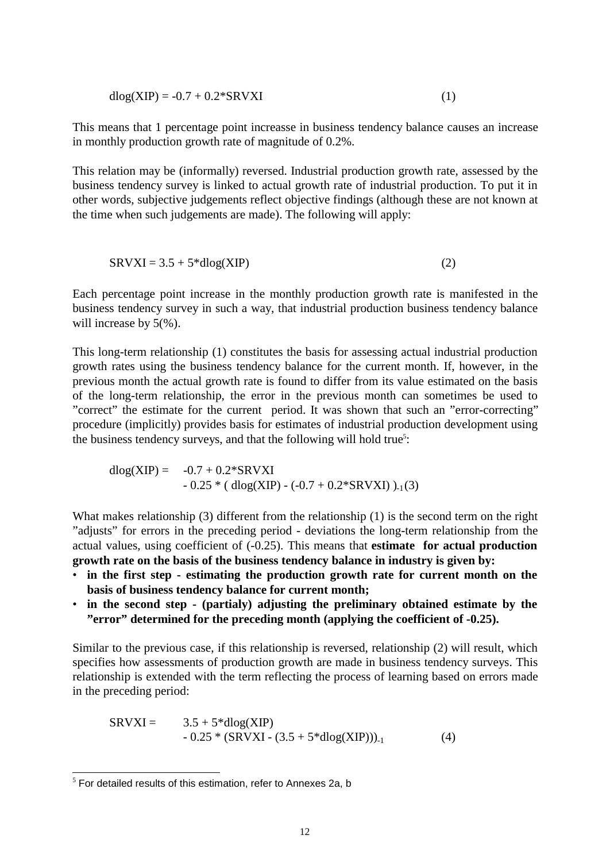$$
dlog(XIP) = -0.7 + 0.2*SRVXI
$$
 (1)

This means that 1 percentage point increasse in business tendency balance causes an increase in monthly production growth rate of magnitude of 0.2%.

This relation may be (informally) reversed. Industrial production growth rate, assessed by the business tendency survey is linked to actual growth rate of industrial production. To put it in other words, subjective judgements reflect objective findings (although these are not known at the time when such judgements are made). The following will apply:

$$
SRVXI = 3.5 + 5 * dlog(XIP)
$$
 (2)

Each percentage point increase in the monthly production growth rate is manifested in the business tendency survey in such a way, that industrial production business tendency balance will increase by 5(%).

This long-term relationship (1) constitutes the basis for assessing actual industrial production growth rates using the business tendency balance for the current month. If, however, in the previous month the actual growth rate is found to differ from its value estimated on the basis of the long-term relationship, the error in the previous month can sometimes be used to "correct" the estimate for the current period. It was shown that such an "error-correcting" procedure (implicitly) provides basis for estimates of industrial production development using the business tendency surveys, and that the following will hold true<sup>5</sup>:

 $dlog(XIP) = -0.7 + 0.2*SRVXI$  $-0.25 * (dlog(XIP) - (-0.7 + 0.2 * SRVXI))_{-1}(3)$ 

What makes relationship (3) different from the relationship (1) is the second term on the right "adjusts" for errors in the preceding period - deviations the long-term relationship from the actual values, using coefficient of (-0.25). This means that **estimate for actual production growth rate on the basis of the business tendency balance in industry is given by:** 

- **in the first step - estimating the production growth rate for current month on the basis of business tendency balance for current month;**
- **in the second step - (partialy) adjusting the preliminary obtained estimate by the "error" determined for the preceding month (applying the coefficient of -0.25).**

Similar to the previous case, if this relationship is reversed, relationship (2) will result, which specifies how assessments of production growth are made in business tendency surveys. This relationship is extended with the term reflecting the process of learning based on errors made in the preceding period:

$$
SRVXI = 3.5 + 5 * dlog(XIP)
$$
  
- 0.25 \* (SRVXI - (3.5 + 5 \* dlog(XIP)))<sub>-1</sub> (4)

 5 For detailed results of this estimation, refer to Annexes 2a, b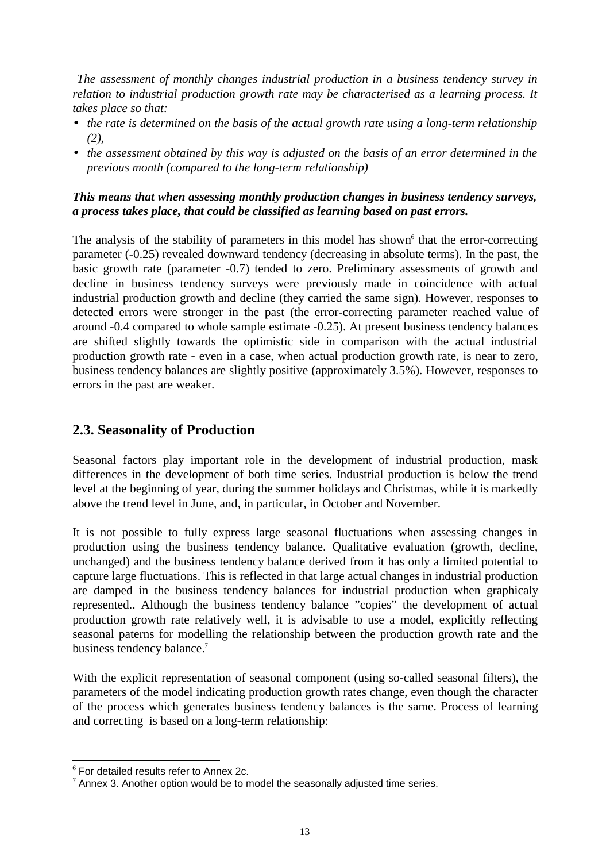*The assessment of monthly changes industrial production in a business tendency survey in relation to industrial production growth rate may be characterised as a learning process. It takes place so that:* 

- *the rate is determined on the basis of the actual growth rate using a long-term relationship (2),*
- *the assessment obtained by this way is adjusted on the basis of an error determined in the previous month (compared to the long-term relationship)*

#### *This means that when assessing monthly production changes in business tendency surveys, a process takes place, that could be classified as learning based on past errors.*

The analysis of the stability of parameters in this model has shown<sup>6</sup> that the error-correcting parameter (-0.25) revealed downward tendency (decreasing in absolute terms). In the past, the basic growth rate (parameter -0.7) tended to zero. Preliminary assessments of growth and decline in business tendency surveys were previously made in coincidence with actual industrial production growth and decline (they carried the same sign). However, responses to detected errors were stronger in the past (the error-correcting parameter reached value of around -0.4 compared to whole sample estimate -0.25). At present business tendency balances are shifted slightly towards the optimistic side in comparison with the actual industrial production growth rate - even in a case, when actual production growth rate, is near to zero, business tendency balances are slightly positive (approximately 3.5%). However, responses to errors in the past are weaker.

## **2.3. Seasonality of Production**

Seasonal factors play important role in the development of industrial production, mask differences in the development of both time series. Industrial production is below the trend level at the beginning of year, during the summer holidays and Christmas, while it is markedly above the trend level in June, and, in particular, in October and November.

It is not possible to fully express large seasonal fluctuations when assessing changes in production using the business tendency balance. Qualitative evaluation (growth, decline, unchanged) and the business tendency balance derived from it has only a limited potential to capture large fluctuations. This is reflected in that large actual changes in industrial production are damped in the business tendency balances for industrial production when graphicaly represented.. Although the business tendency balance "copies" the development of actual production growth rate relatively well, it is advisable to use a model, explicitly reflecting seasonal paterns for modelling the relationship between the production growth rate and the business tendency balance.<sup>7</sup>

With the explicit representation of seasonal component (using so-called seasonal filters), the parameters of the model indicating production growth rates change, even though the character of the process which generates business tendency balances is the same. Process of learning and correcting is based on a long-term relationship:

l

<sup>6</sup> For detailed results refer to Annex 2c.

 $7$  Annex 3. Another option would be to model the seasonally adjusted time series.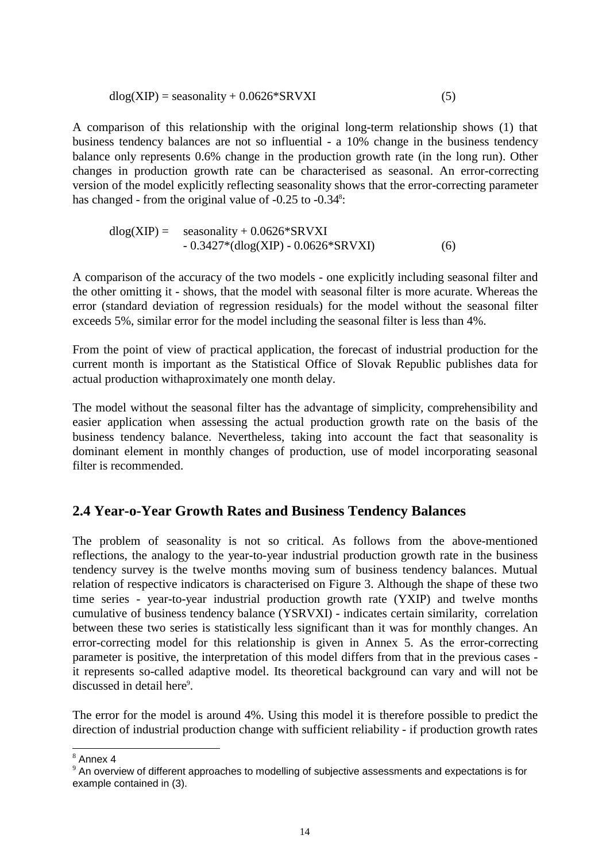$$
dlog(XIP) = seasonality + 0.0626*SRVXI
$$
 (5)

A comparison of this relationship with the original long-term relationship shows (1) that business tendency balances are not so influential - a 10% change in the business tendency balance only represents 0.6% change in the production growth rate (in the long run). Other changes in production growth rate can be characterised as seasonal. An error-correcting version of the model explicitly reflecting seasonality shows that the error-correcting parameter has changed - from the original value of -0.25 to -0.34<sup>8</sup>:

$$
dlog(XIP) = \nseasonality + 0.0626 * SRVXI\n- 0.3427 * (dlog(XIP) - 0.0626 * SRVXI)
$$
\n(6)

A comparison of the accuracy of the two models - one explicitly including seasonal filter and the other omitting it - shows, that the model with seasonal filter is more acurate. Whereas the error (standard deviation of regression residuals) for the model without the seasonal filter exceeds 5%, similar error for the model including the seasonal filter is less than 4%.

From the point of view of practical application, the forecast of industrial production for the current month is important as the Statistical Office of Slovak Republic publishes data for actual production withaproximately one month delay.

The model without the seasonal filter has the advantage of simplicity, comprehensibility and easier application when assessing the actual production growth rate on the basis of the business tendency balance. Nevertheless, taking into account the fact that seasonality is dominant element in monthly changes of production, use of model incorporating seasonal filter is recommended.

## **2.4 Year-o-Year Growth Rates and Business Tendency Balances**

The problem of seasonality is not so critical. As follows from the above-mentioned reflections, the analogy to the year-to-year industrial production growth rate in the business tendency survey is the twelve months moving sum of business tendency balances. Mutual relation of respective indicators is characterised on Figure 3. Although the shape of these two time series - year-to-year industrial production growth rate (YXIP) and twelve months cumulative of business tendency balance (YSRVXI) - indicates certain similarity, correlation between these two series is statistically less significant than it was for monthly changes. An error-correcting model for this relationship is given in Annex 5. As the error-correcting parameter is positive, the interpretation of this model differs from that in the previous cases it represents so-called adaptive model. Its theoretical background can vary and will not be discussed in detail here<sup>9</sup>.

The error for the model is around 4%. Using this model it is therefore possible to predict the direction of industrial production change with sufficient reliability - if production growth rates

 8 Annex 4

 $9$  An overview of different approaches to modelling of subjective assessments and expectations is for example contained in (3).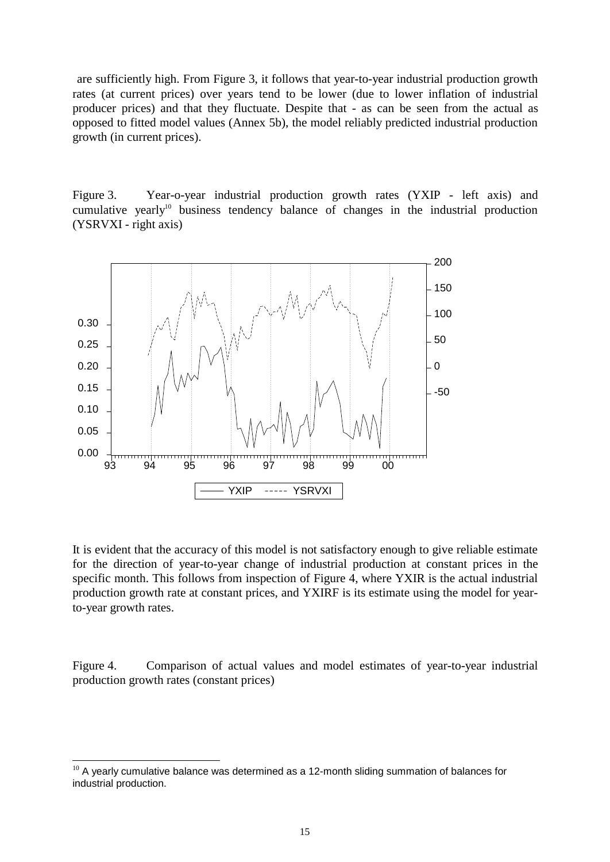are sufficiently high. From Figure 3, it follows that year-to-year industrial production growth rates (at current prices) over years tend to be lower (due to lower inflation of industrial producer prices) and that they fluctuate. Despite that - as can be seen from the actual as opposed to fitted model values (Annex 5b), the model reliably predicted industrial production growth (in current prices).

Figure 3. Year-o-year industrial production growth rates (YXIP - left axis) and cumulative yearly<sup>10</sup> business tendency balance of changes in the industrial production (YSRVXI - right axis)



It is evident that the accuracy of this model is not satisfactory enough to give reliable estimate for the direction of year-to-year change of industrial production at constant prices in the specific month. This follows from inspection of Figure 4, where YXIR is the actual industrial production growth rate at constant prices, and YXIRF is its estimate using the model for yearto-year growth rates.

Figure 4. Comparison of actual values and model estimates of year-to-year industrial production growth rates (constant prices)

l

 $10$  A yearly cumulative balance was determined as a 12-month sliding summation of balances for industrial production.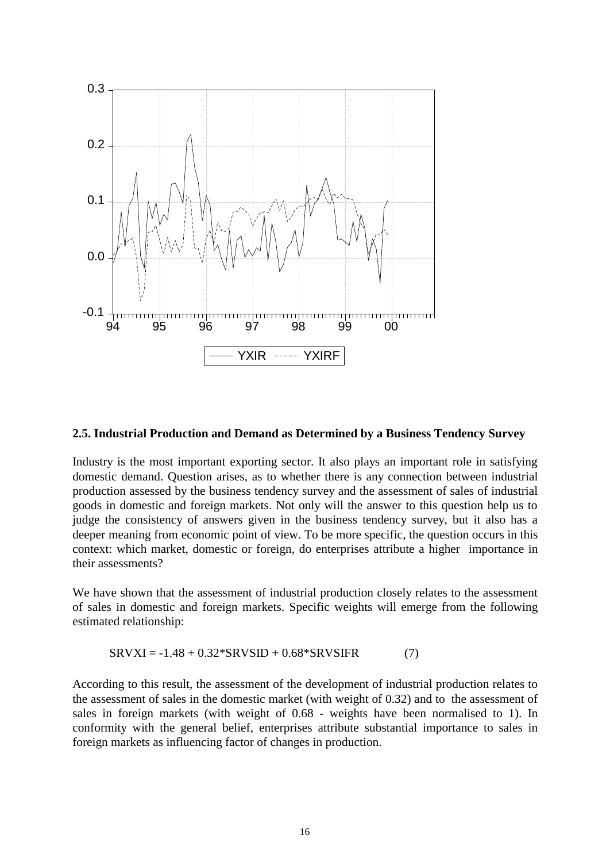

#### **2.5. Industrial Production and Demand as Determined by a Business Tendency Survey**

Industry is the most important exporting sector. It also plays an important role in satisfying domestic demand. Question arises, as to whether there is any connection between industrial production assessed by the business tendency survey and the assessment of sales of industrial goods in domestic and foreign markets. Not only will the answer to this question help us to judge the consistency of answers given in the business tendency survey, but it also has a deeper meaning from economic point of view. To be more specific, the question occurs in this context: which market, domestic or foreign, do enterprises attribute a higher importance in their assessments?

We have shown that the assessment of industrial production closely relates to the assessment of sales in domestic and foreign markets. Specific weights will emerge from the following estimated relationship:

$$
SRVXI = -1.48 + 0.32 * SRVSID + 0.68 * SRVSIFR
$$
 (7)

According to this result, the assessment of the development of industrial production relates to the assessment of sales in the domestic market (with weight of 0.32) and to the assessment of sales in foreign markets (with weight of 0.68 - weights have been normalised to 1). In conformity with the general belief, enterprises attribute substantial importance to sales in foreign markets as influencing factor of changes in production.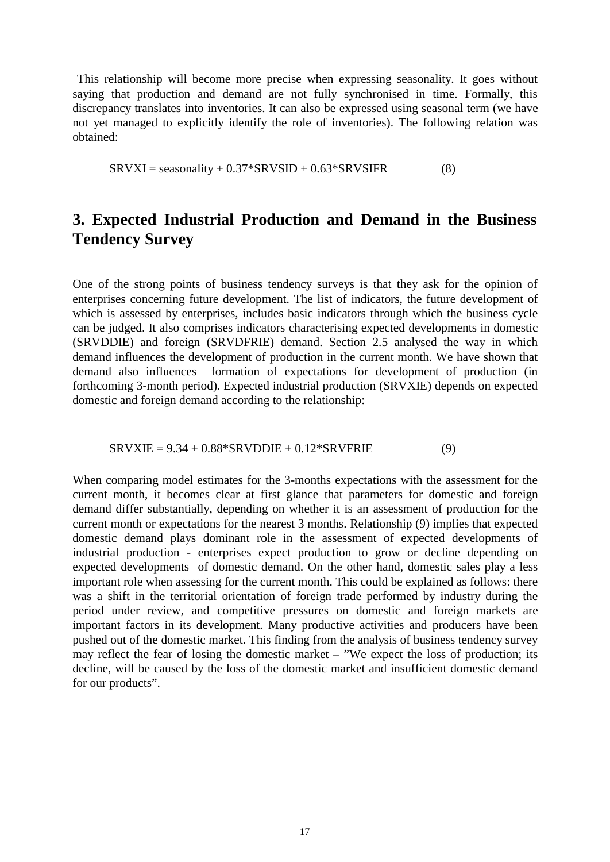This relationship will become more precise when expressing seasonality. It goes without saying that production and demand are not fully synchronised in time. Formally, this discrepancy translates into inventories. It can also be expressed using seasonal term (we have not yet managed to explicitly identify the role of inventories). The following relation was obtained:

 $SRVXI = seasonality + 0.37*SRVSID + 0.63*SRVSIFR$  (8)

## **3. Expected Industrial Production and Demand in the Business Tendency Survey**

One of the strong points of business tendency surveys is that they ask for the opinion of enterprises concerning future development. The list of indicators, the future development of which is assessed by enterprises, includes basic indicators through which the business cycle can be judged. It also comprises indicators characterising expected developments in domestic (SRVDDIE) and foreign (SRVDFRIE) demand. Section 2.5 analysed the way in which demand influences the development of production in the current month. We have shown that demand also influences formation of expectations for development of production (in forthcoming 3-month period). Expected industrial production (SRVXIE) depends on expected domestic and foreign demand according to the relationship:

#### $SRVXIE = 9.34 + 0.88 * SRVDDIE + 0.12 * SRVFRIE$  (9)

When comparing model estimates for the 3-months expectations with the assessment for the current month, it becomes clear at first glance that parameters for domestic and foreign demand differ substantially, depending on whether it is an assessment of production for the current month or expectations for the nearest 3 months. Relationship (9) implies that expected domestic demand plays dominant role in the assessment of expected developments of industrial production - enterprises expect production to grow or decline depending on expected developments of domestic demand. On the other hand, domestic sales play a less important role when assessing for the current month. This could be explained as follows: there was a shift in the territorial orientation of foreign trade performed by industry during the period under review, and competitive pressures on domestic and foreign markets are important factors in its development. Many productive activities and producers have been pushed out of the domestic market. This finding from the analysis of business tendency survey may reflect the fear of losing the domestic market – "We expect the loss of production; its decline, will be caused by the loss of the domestic market and insufficient domestic demand for our products".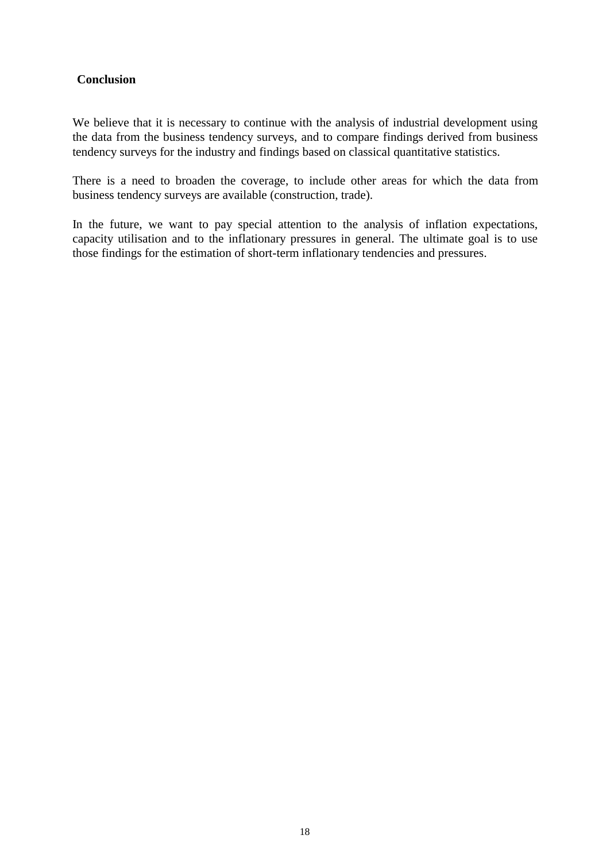#### **Conclusion**

We believe that it is necessary to continue with the analysis of industrial development using the data from the business tendency surveys, and to compare findings derived from business tendency surveys for the industry and findings based on classical quantitative statistics.

There is a need to broaden the coverage, to include other areas for which the data from business tendency surveys are available (construction, trade).

In the future, we want to pay special attention to the analysis of inflation expectations, capacity utilisation and to the inflationary pressures in general. The ultimate goal is to use those findings for the estimation of short-term inflationary tendencies and pressures.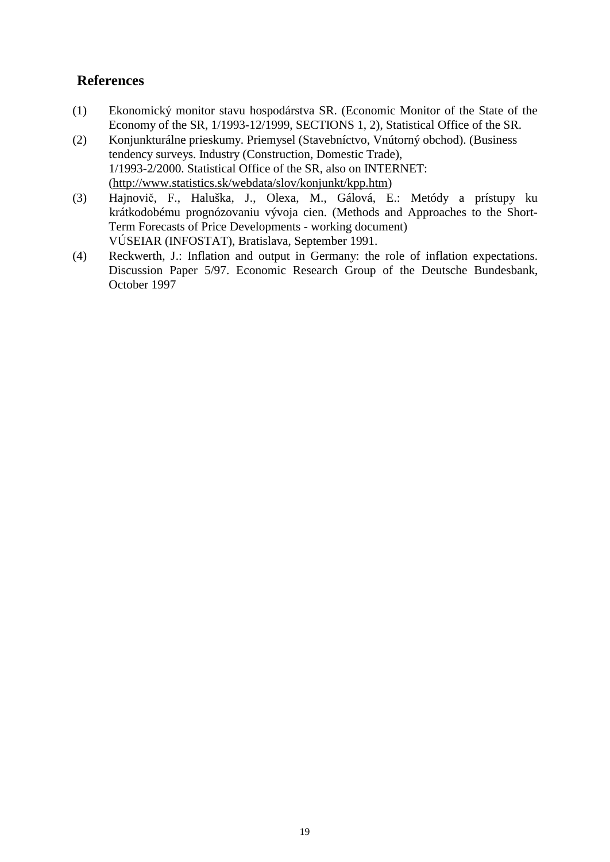## **References**

- (1) Ekonomický monitor stavu hospodárstva SR. (Economic Monitor of the State of the Economy of the SR, 1/1993-12/1999, SECTIONS 1, 2), Statistical Office of the SR.
- (2) Konjunkturálne prieskumy. Priemysel (Stavebníctvo, Vnútorný obchod). (Business tendency surveys. Industry (Construction, Domestic Trade), 1/1993-2/2000. Statistical Office of the SR, also on INTERNET: [\(http://www.statistics.sk/webdata/slov/konjunkt/kpp.htm\)](http://www.statistics.sk/webdata/slov/konjunkt/kpp.htm)
- (3) Hajnovič, F., Haluška, J., Olexa, M., Gálová, E.: Metódy a prístupy ku krátkodobému prognózovaniu vývoja cien. (Methods and Approaches to the Short-Term Forecasts of Price Developments - working document) VÚSEIAR (INFOSTAT), Bratislava, September 1991.
- (4) Reckwerth, J.: Inflation and output in Germany: the role of inflation expectations. Discussion Paper 5/97. Economic Research Group of the Deutsche Bundesbank, October 1997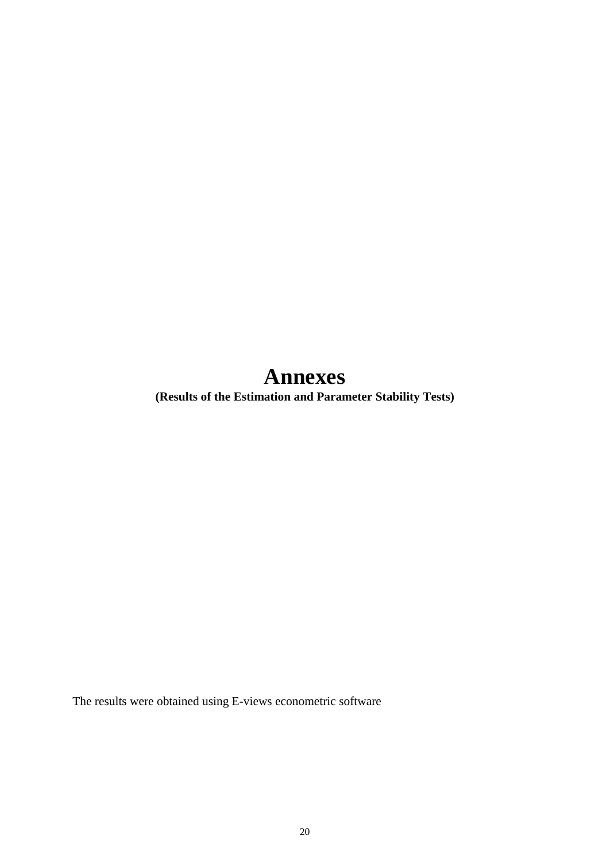# **Annexes**

**(Results of the Estimation and Parameter Stability Tests)** 

The results were obtained using E-views econometric software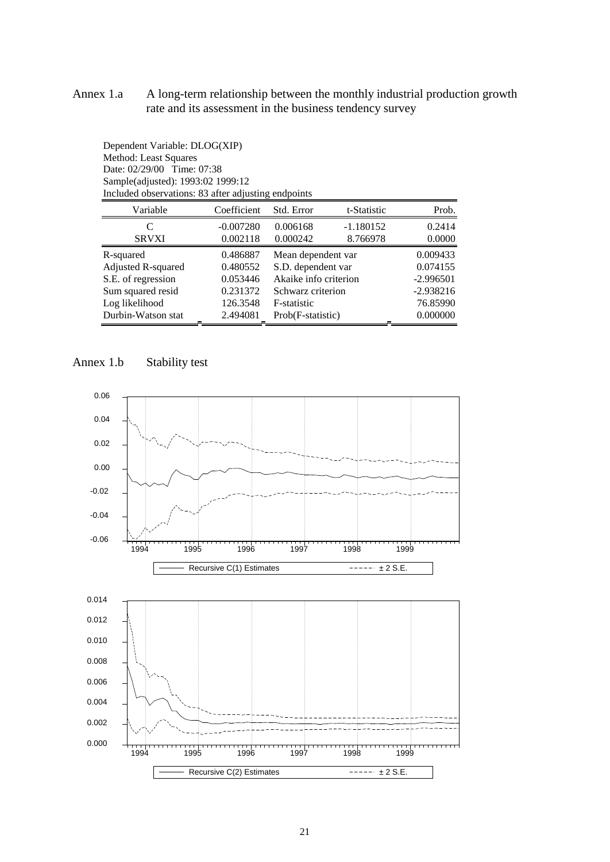#### Annex 1.a A long-term relationship between the monthly industrial production growth rate and its assessment in the business tendency survey

| Method: Least Squares<br>Date: 02/29/00 Time: 07:38<br>Sample(adjusted): 1993:02 1999:12<br>Included observations: 83 after adjusting endpoints |             |                       |             |             |
|-------------------------------------------------------------------------------------------------------------------------------------------------|-------------|-----------------------|-------------|-------------|
| Variable                                                                                                                                        | Coefficient | Std. Error            | t-Statistic | Prob.       |
| C                                                                                                                                               | $-0.007280$ | 0.006168              | $-1.180152$ | 0.2414      |
| <b>SRVXI</b>                                                                                                                                    | 0.002118    | 0.000242              | 8.766978    | 0.0000      |
| R-squared                                                                                                                                       | 0.486887    | Mean dependent var    |             | 0.009433    |
| Adjusted R-squared                                                                                                                              | 0.480552    | S.D. dependent var    |             | 0.074155    |
| S.E. of regression                                                                                                                              | 0.053446    | Akaike info criterion |             | $-2.996501$ |
| Sum squared resid                                                                                                                               | 0.231372    | Schwarz criterion     |             | $-2.938216$ |
| Log likelihood                                                                                                                                  | 126.3548    | F-statistic           |             | 76.85990    |
| Durbin-Watson stat                                                                                                                              | 2.494081    | Prob(F-statistic)     |             | 0.000000    |



Dependent Variable: DLOG(XIP)

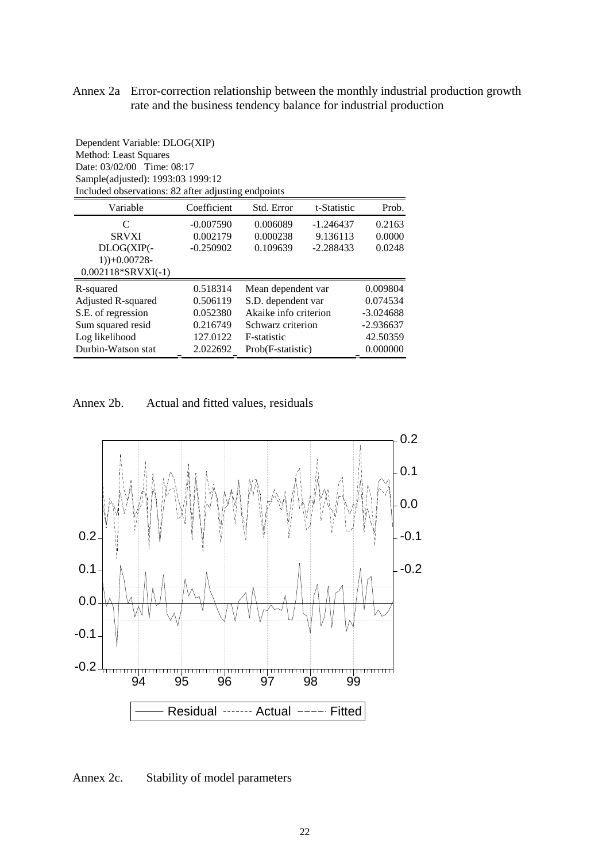#### Annex 2a Error-correction relationship between the monthly industrial production growth rate and the business tendency balance for industrial production

Dependent Variable: DLOG(XIP) Method: Least Squares Date: 03/02/00 Time: 08:17 Sample(adjusted): 1993:03 1999:12 Included observations: 82 after adjusting endpoints Variable Coefficient Std. Error t-Statistic Prob. C -0.007590 0.006089 -1.246437 0.2163 SRVXI 0.002179 0.000238 9.136113 0.0000 DLOG(XIP(- 1))+0.00728- 0.002118\*SRVXI(-1) -0.250902 0.109639 -2.288433 0.0248

| 0.518314 | Mean dependent var    | 0.009804    |
|----------|-----------------------|-------------|
| 0.506119 | S.D. dependent var    | 0.074534    |
| 0.052380 | Akaike info criterion | $-3.024688$ |
| 0.216749 | Schwarz criterion     | $-2.936637$ |
| 127.0122 | F-statistic           | 42.50359    |
| 2.022692 | Prob(F-statistic)     | 0.000000    |
|          |                       |             |

Annex 2b. Actual and fitted values, residuals



Annex 2c. Stability of model parameters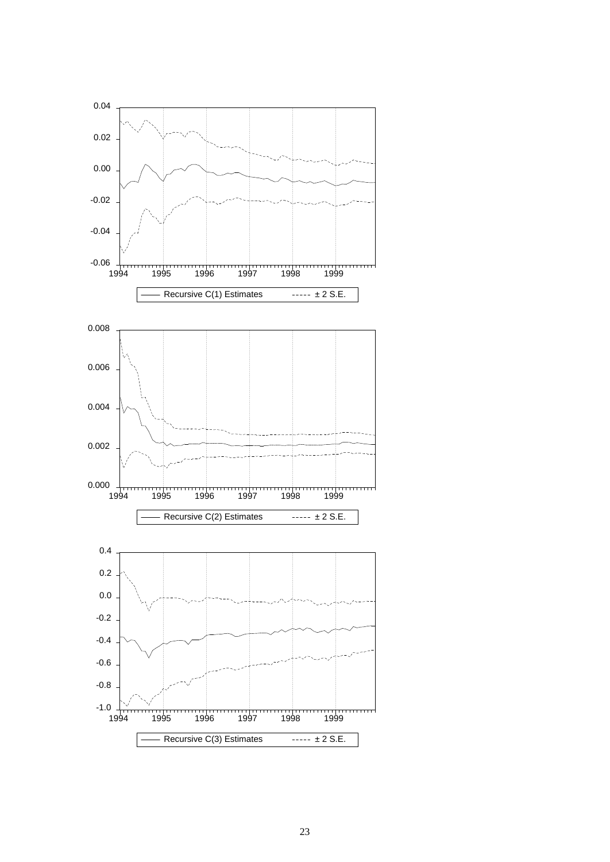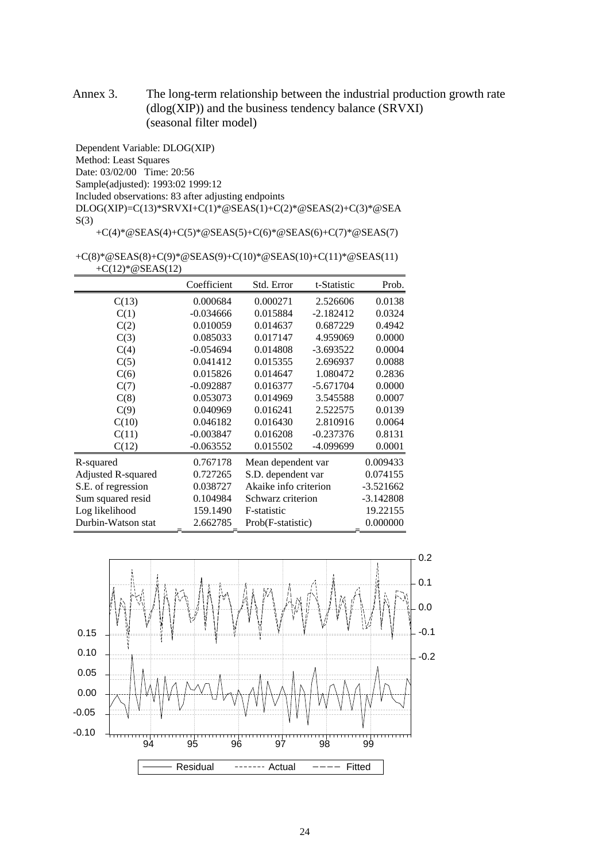Annex 3. The long-term relationship between the industrial production growth rate  $(dlog(XIP))$  and the business tendency balance  $(SRVXI)$ (seasonal filter model)

Dependent Variable: DLOG(XIP) Method: Least Squares Date: 03/02/00 Time: 20:56 Sample(adjusted): 1993:02 1999:12 Included observations: 83 after adjusting endpoints DLOG(XIP)=C(13)\*SRVXI+C(1)\*@SEAS(1)+C(2)\*@SEAS(2)+C(3)\*@SEA  $S(3)$ 

+C(4)\*@SEAS(4)+C(5)\*@SEAS(5)+C(6)\*@SEAS(6)+C(7)\*@SEAS(7)

+C(8)\*@SEAS(8)+C(9)\*@SEAS(9)+C(10)\*@SEAS(10)+C(11)\*@SEAS(11) +C(12)\*@SEAS(12)

|                    | Coefficient | Std. Error            | t-Statistic | Prob.       |
|--------------------|-------------|-----------------------|-------------|-------------|
| C(13)              | 0.000684    | 0.000271              | 2.526606    | 0.0138      |
| C(1)               | $-0.034666$ | 0.015884              | $-2.182412$ | 0.0324      |
| C(2)               | 0.010059    | 0.014637              | 0.687229    | 0.4942      |
| C(3)               | 0.085033    | 0.017147              | 4.959069    | 0.0000      |
| C(4)               | $-0.054694$ | 0.014808              | $-3.693522$ | 0.0004      |
| C(5)               | 0.041412    | 0.015355              | 2.696937    | 0.0088      |
| C(6)               | 0.015826    | 0.014647              | 1.080472    | 0.2836      |
| C(7)               | $-0.092887$ | 0.016377              | $-5.671704$ | 0.0000      |
| C(8)               | 0.053073    | 0.014969              | 3.545588    | 0.0007      |
| C(9)               | 0.040969    | 0.016241              | 2.522575    | 0.0139      |
| C(10)              | 0.046182    | 0.016430              | 2.810916    | 0.0064      |
| C(11)              | $-0.003847$ | 0.016208              | $-0.237376$ | 0.8131      |
| C(12)              | $-0.063552$ | 0.015502              | -4.099699   | 0.0001      |
| R-squared          | 0.767178    | Mean dependent var    |             | 0.009433    |
| Adjusted R-squared | 0.727265    | S.D. dependent var    |             | 0.074155    |
| S.E. of regression | 0.038727    | Akaike info criterion |             | $-3.521662$ |
| Sum squared resid  | 0.104984    | Schwarz criterion     |             | $-3.142808$ |
| Log likelihood     | 159.1490    | F-statistic           |             | 19.22155    |
| Durbin-Watson stat | 2.662785    | Prob(F-statistic)     |             | 0.000000    |

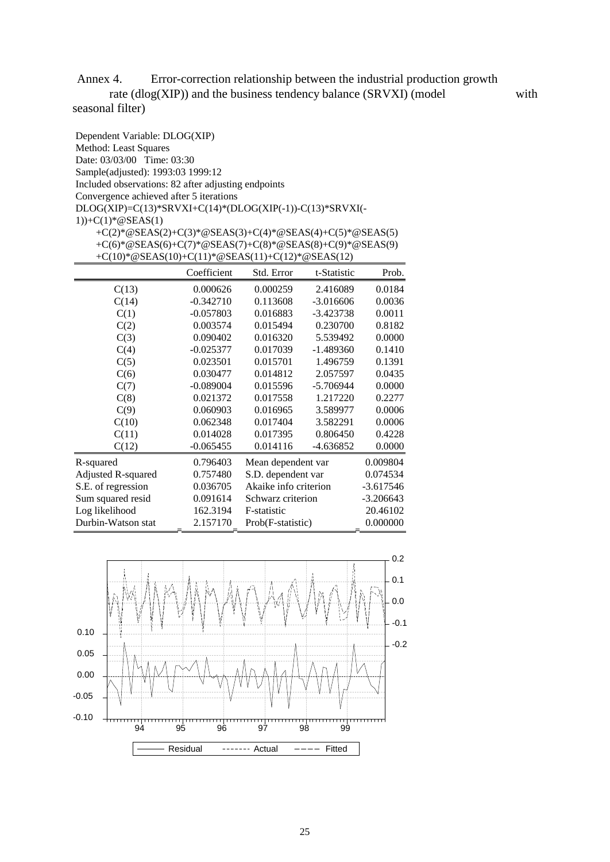Annex 4. Error-correction relationship between the industrial production growth rate  $(dlog(XIP))$  and the business tendency balance  $(SRVXI)$  (model with

seasonal filter)

| Dependent Variable: DLOG(XIP)                                 |                                                          |            |             |        |
|---------------------------------------------------------------|----------------------------------------------------------|------------|-------------|--------|
| Method: Least Squares                                         |                                                          |            |             |        |
| Date: 03/03/00 Time: 03:30                                    |                                                          |            |             |        |
| Sample(adjusted): 1993:03 1999:12                             |                                                          |            |             |        |
| Included observations: 82 after adjusting endpoints           |                                                          |            |             |        |
| Convergence achieved after 5 iterations                       |                                                          |            |             |        |
| $DLOG(XIP)=C(13)*SRVXI+C(14)*(DLOG(XIP(-1))-C(13)*SRVXI(-1))$ |                                                          |            |             |        |
| 1))+C(1)*@SEAS(1)                                             |                                                          |            |             |        |
|                                                               | +C(2)*@SEAS(2)+C(3)*@SEAS(3)+C(4)*@SEAS(4)+C(5)*@SEAS(5) |            |             |        |
|                                                               | +C(6)*@SEAS(6)+C(7)*@SEAS(7)+C(8)*@SEAS(8)+C(9)*@SEAS(9) |            |             |        |
|                                                               | + $C(10)*@SEAS(10)+C(11)*@SEAS(11)+C(12)*@SEAS(12)$      |            |             |        |
|                                                               | Coefficient                                              | Std. Error | t-Statistic | Prob.  |
| C(13)                                                         | 0.000626                                                 | 0.000259   | 2.416089    | 0.0184 |
| C(14)                                                         | $-0.342710$                                              | 0.113608   | $-3.016606$ | 0.0036 |
| C(1)                                                          | $-0.057803$                                              | 0.016883   | $-3.423738$ | 0.0011 |
| C(2)                                                          | 0.003574                                                 | 0.015494   | 0.230700    | 0.8182 |
| C(3)                                                          | 0.090402                                                 | 0.016320   | 5.539492    | 0.0000 |
| C(4)                                                          | $-0.025377$                                              | 0.017039   | $-1.489360$ | 0.1410 |
| C(5)                                                          | 0.023501                                                 | 0.015701   | 1.496759    | 0.1391 |
| C(6)                                                          | 0.030477                                                 | 0.014812   | 2.057597    | 0.0435 |
| C(7)                                                          | $-0.089004$                                              | 0.015596   | $-5.706944$ | 0.0000 |
| C(8)                                                          | 0.021372                                                 | 0.017558   | 1.217220    | 0.2277 |
| C(9)                                                          | 0.060903                                                 | 0.016965   | 3.589977    | 0.0006 |
| C(10)                                                         | 0.062348                                                 | 0.017404   | 3.582291    | 0.0006 |
| C(11)                                                         | 0.014028                                                 | 0.017395   | 0.806450    | 0.4228 |

| C(11)              | 0.014028    | U.UI 7595             | <b>0.800450</b> | <u>0.4228</u> |
|--------------------|-------------|-----------------------|-----------------|---------------|
| C(12)              | $-0.065455$ | 0.014116              | $-4.636852$     | 0.0000        |
| R-squared          | 0.796403    | Mean dependent var    |                 | 0.009804      |
| Adjusted R-squared | 0.757480    | S.D. dependent var    |                 | 0.074534      |
| S.E. of regression | 0.036705    | Akaike info criterion |                 | $-3.617546$   |
| Sum squared resid  | 0.091614    | Schwarz criterion     |                 | $-3.206643$   |
| Log likelihood     | 162.3194    | F-statistic           |                 | 20.46102      |
| Durbin-Watson stat | 2.157170    | Prob(F-statistic)     |                 | 0.000000      |

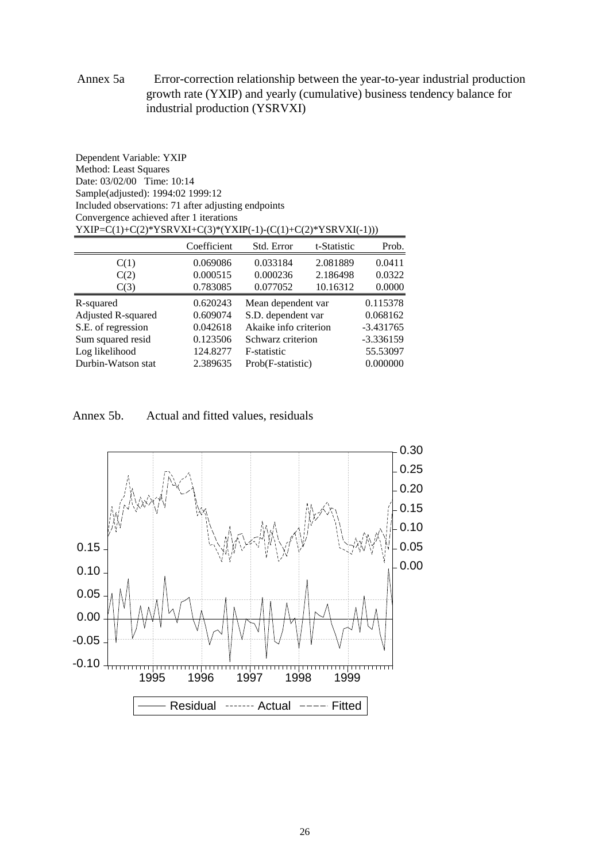#### Annex 5a Error-correction relationship between the year-to-year industrial production growth rate (YXIP) and yearly (cumulative) business tendency balance for industrial production (YSRVXI)

| Date: 03/02/00 Time: 10:14                                   |             |                       |             |             |  |  |
|--------------------------------------------------------------|-------------|-----------------------|-------------|-------------|--|--|
| Sample(adjusted): 1994:02 1999:12                            |             |                       |             |             |  |  |
| Included observations: 71 after adjusting endpoints          |             |                       |             |             |  |  |
| Convergence achieved after 1 iterations                      |             |                       |             |             |  |  |
| YXIP=C(1)+C(2)*YSRVXI+C(3)*(YXIP(-1)-(C(1)+C(2)*YSRVXI(-1))) |             |                       |             |             |  |  |
|                                                              | Coefficient | Std. Error            | t-Statistic | Prob.       |  |  |
| C(1)                                                         | 0.069086    | 0.033184              | 2.081889    | 0.0411      |  |  |
| C(2)                                                         | 0.000515    | 0.000236              | 2.186498    | 0.0322      |  |  |
| C(3)                                                         | 0.783085    | 0.077052              | 10.16312    | 0.0000      |  |  |
| R-squared                                                    | 0.620243    | Mean dependent var    |             | 0.115378    |  |  |
| Adjusted R-squared                                           | 0.609074    | S.D. dependent var    |             | 0.068162    |  |  |
| S.E. of regression                                           | 0.042618    | Akaike info criterion |             | $-3.431765$ |  |  |
| Sum squared resid                                            | 0.123506    | Schwarz criterion     |             | $-3.336159$ |  |  |
| Log likelihood                                               | 124.8277    | F-statistic           |             | 55.53097    |  |  |
| Durbin-Watson stat                                           | 2.389635    | Prob(F-statistic)     |             | 0.000000    |  |  |

Annex 5b. Actual and fitted values, residuals

Dependent Variable: YXIP Method: Least Squares

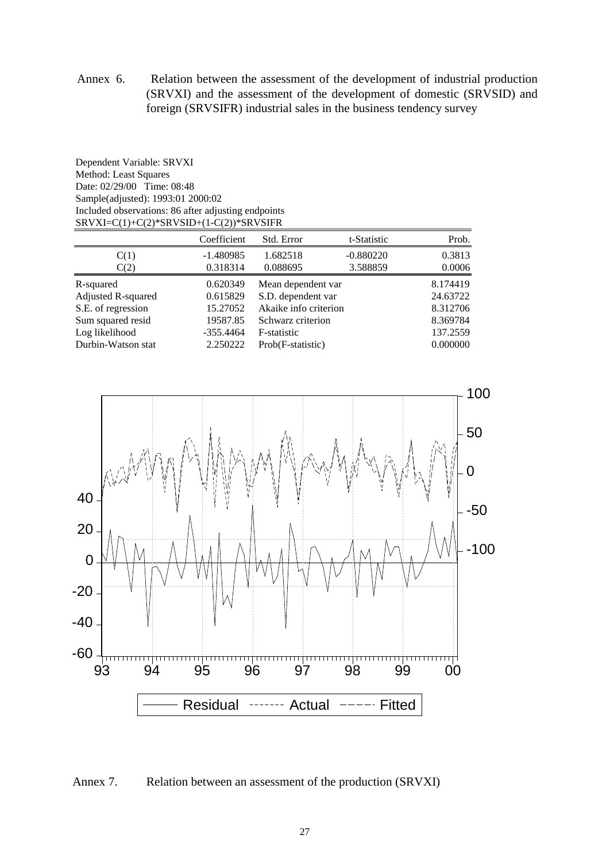Annex 6. Relation between the assessment of the development of industrial production (SRVXI) and the assessment of the development of domestic (SRVSID) and foreign (SRVSIFR) industrial sales in the business tendency survey

Dependent Variable: SRVXI Method: Least Squares Date: 02/29/00 Time: 08:48 Sample(adjusted): 1993:01 2000:02 Included observations: 86 after adjusting endpoints SRVXI=C(1)+C(2)\*SRVSID+(1-C(2))\*SRVSIFR

| Coefficient | Std. Error  | t-Statistic | Prob.                                                                                                       |
|-------------|-------------|-------------|-------------------------------------------------------------------------------------------------------------|
| $-1.480985$ | 1.682518    | $-0.880220$ | 0.3813                                                                                                      |
| 0.318314    | 0.088695    | 3.588859    | 0.0006                                                                                                      |
| 0.620349    |             |             | 8.174419                                                                                                    |
| 0.615829    |             |             | 24.63722                                                                                                    |
| 15.27052    |             |             | 8.312706                                                                                                    |
| 19587.85    |             |             | 8.369784                                                                                                    |
| $-355.4464$ | F-statistic |             | 137.2559                                                                                                    |
| 2.250222    |             |             | 0.000000                                                                                                    |
|             |             |             | Mean dependent var<br>S.D. dependent var<br>Akaike info criterion<br>Schwarz criterion<br>Prob(F-statistic) |



Annex 7. Relation between an assessment of the production (SRVXI)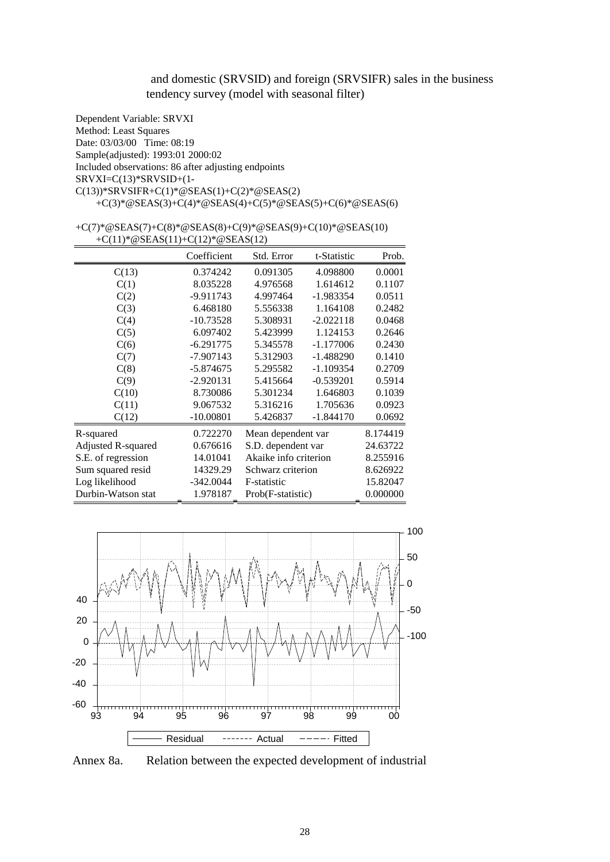#### and domestic (SRVSID) and foreign (SRVSIFR) sales in the business tendency survey (model with seasonal filter)

Dependent Variable: SRVXI Method: Least Squares Date: 03/03/00 Time: 08:19 Sample(adjusted): 1993:01 2000:02 Included observations: 86 after adjusting endpoints SRVXI=C(13)\*SRVSID+(1-  $C(13)$ )\*SRVSIFR+ $C(1)$ \*@SEAS(1)+ $C(2)$ \*@SEAS(2) +C(3)\*@SEAS(3)+C(4)\*@SEAS(4)+C(5)\*@SEAS(5)+C(6)\*@SEAS(6)

#### +C(7)\*@SEAS(7)+C(8)\*@SEAS(8)+C(9)\*@SEAS(9)+C(10)\*@SEAS(10) +C(11)\*@SEAS(11)+C(12)\*@SEAS(12)

|                    | Coefficient | Std. Error            | t-Statistic | Prob.    |
|--------------------|-------------|-----------------------|-------------|----------|
| C(13)              | 0.374242    | 0.091305              | 4.098800    | 0.0001   |
| C(1)               | 8.035228    | 4.976568              | 1.614612    | 0.1107   |
| C(2)               | -9.911743   | 4.997464              | $-1.983354$ | 0.0511   |
| C(3)               | 6.468180    | 5.556338              | 1.164108    | 0.2482   |
| C(4)               | $-10.73528$ | 5.308931              | $-2.022118$ | 0.0468   |
| C(5)               | 6.097402    | 5.423999              | 1.124153    | 0.2646   |
| C(6)               | $-6.291775$ | 5.345578              | $-1.177006$ | 0.2430   |
| C(7)               | $-7.907143$ | 5.312903              | $-1.488290$ | 0.1410   |
| C(8)               | $-5.874675$ | 5.295582              | $-1.109354$ | 0.2709   |
| C(9)               | $-2.920131$ | 5.415664              | $-0.539201$ | 0.5914   |
| C(10)              | 8.730086    | 5.301234              | 1.646803    | 0.1039   |
| C(11)              | 9.067532    | 5.316216              | 1.705636    | 0.0923   |
| C(12)              | $-10.00801$ | 5.426837              | $-1.844170$ | 0.0692   |
| R-squared          | 0.722270    | Mean dependent var    |             | 8.174419 |
| Adjusted R-squared | 0.676616    | S.D. dependent var    |             | 24.63722 |
| S.E. of regression | 14.01041    | Akaike info criterion |             | 8.255916 |
| Sum squared resid  | 14329.29    | Schwarz criterion     |             | 8.626922 |
| Log likelihood     | $-342.0044$ | F-statistic           |             | 15.82047 |
| Durbin-Watson stat | 1.978187    | Prob(F-statistic)     |             | 0.000000 |



Annex 8a. Relation between the expected development of industrial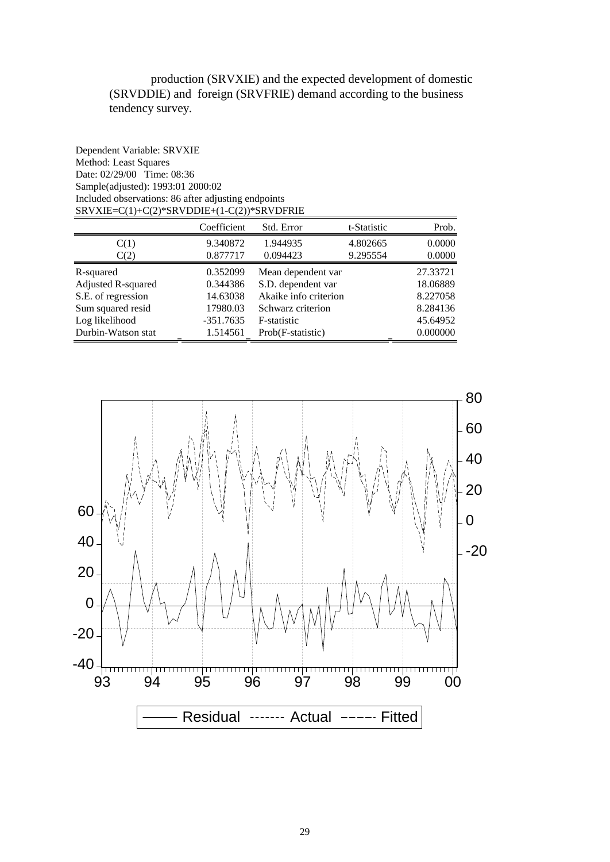production (SRVXIE) and the expected development of domestic (SRVDDIE) and foreign (SRVFRIE) demand according to the business tendency survey.

| Dependent Variable: SRVXIE                          |
|-----------------------------------------------------|
| Method: Least Squares                               |
| Date: $02/29/00$ Time: $08:36$                      |
| Sample(adjusted): 1993:01 2000:02                   |
| Included observations: 86 after adjusting endpoints |
| $SRVXIE=C(1)+C(2)*SRVDDIE+(1-C(2))*SRVDFRIE$        |

|                    | Coefficient | Std. Error            | t-Statistic | Prob.    |
|--------------------|-------------|-----------------------|-------------|----------|
| C(1)               | 9.340872    | 1.944935              | 4.802665    | 0.0000   |
| C(2)               | 0.877717    | 0.094423              | 9.295554    | 0.0000   |
| R-squared          | 0.352099    | Mean dependent var    |             | 27.33721 |
| Adjusted R-squared | 0.344386    | S.D. dependent var    |             | 18.06889 |
| S.E. of regression | 14.63038    | Akaike info criterion |             | 8.227058 |
| Sum squared resid  | 17980.03    | Schwarz criterion     |             | 8.284136 |
| Log likelihood     | $-351.7635$ | F-statistic           |             | 45.64952 |
| Durbin-Watson stat | 1.514561    | Prob(F-statistic)     |             | 0.000000 |